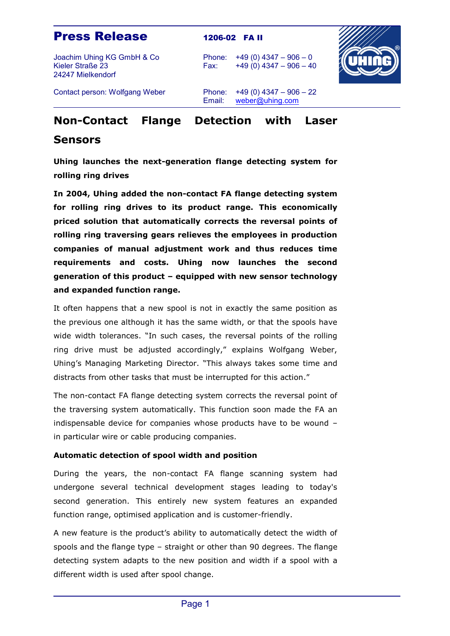Joachim Uhing KG GmbH & Co Phone: +49 (0) 4347 – 906 – 0 24247 Mielkendorf

#### 1206-02 FA II

Kieler Straße 23 Fax: +49 (0) 4347 – 906 – 40



Contact person: Wolfgang Weber Phone: +49 (0) 4347 – 906 – 22 Email: weber@uhing.com

# **Non-Contact Flange Detection with Laser Sensors**

**Uhing launches the next-generation flange detecting system for rolling ring drives**

**In 2004, Uhing added the non-contact FA flange detecting system for rolling ring drives to its product range. This economically priced solution that automatically corrects the reversal points of rolling ring traversing gears relieves the employees in production companies of manual adjustment work and thus reduces time requirements and costs. Uhing now launches the second generation of this product – equipped with new sensor technology and expanded function range.**

It often happens that a new spool is not in exactly the same position as the previous one although it has the same width, or that the spools have wide width tolerances. "In such cases, the reversal points of the rolling ring drive must be adjusted accordingly," explains Wolfgang Weber, Uhing's Managing Marketing Director. "This always takes some time and distracts from other tasks that must be interrupted for this action."

The non-contact FA flange detecting system corrects the reversal point of the traversing system automatically. This function soon made the FA an indispensable device for companies whose products have to be wound – in particular wire or cable producing companies.

### **Automatic detection of spool width and position**

During the years, the non-contact FA flange scanning system had undergone several technical development stages leading to today's second generation. This entirely new system features an expanded function range, optimised application and is customer-friendly.

A new feature is the product's ability to automatically detect the width of spools and the flange type – straight or other than 90 degrees. The flange detecting system adapts to the new position and width if a spool with a different width is used after spool change.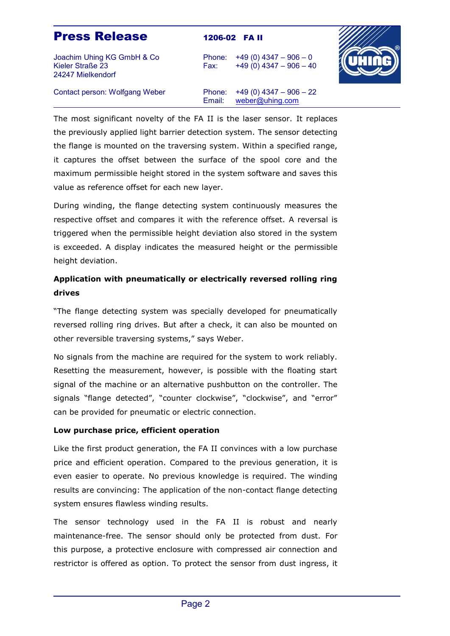| <b>Press Release</b>                                                | 1206-02 FA II    |                                                     |  |
|---------------------------------------------------------------------|------------------|-----------------------------------------------------|--|
| Joachim Uhing KG GmbH & Co<br>Kieler Straße 23<br>24247 Mielkendorf | Phone:<br>Fax: F | $+49(0)$ 4347 - 906 - 0<br>$+49(0)$ 4347 - 906 - 40 |  |
| Contact person: Wolfgang Weber                                      | Phone:<br>Email: | $+49(0)$ 4347 - 906 - 22<br>weber@uhing.com         |  |
|                                                                     |                  |                                                     |  |

The most significant novelty of the FA II is the laser sensor. It replaces the previously applied light barrier detection system. The sensor detecting the flange is mounted on the traversing system. Within a specified range, it captures the offset between the surface of the spool core and the maximum permissible height stored in the system software and saves this value as reference offset for each new layer.

During winding, the flange detecting system continuously measures the respective offset and compares it with the reference offset. A reversal is triggered when the permissible height deviation also stored in the system is exceeded. A display indicates the measured height or the permissible height deviation.

## **Application with pneumatically or electrically reversed rolling ring drives**

"The flange detecting system was specially developed for pneumatically reversed rolling ring drives. But after a check, it can also be mounted on other reversible traversing systems," says Weber.

No signals from the machine are required for the system to work reliably. Resetting the measurement, however, is possible with the floating start signal of the machine or an alternative pushbutton on the controller. The signals "flange detected", "counter clockwise", "clockwise", and "error" can be provided for pneumatic or electric connection.

#### **Low purchase price, efficient operation**

Like the first product generation, the FA II convinces with a low purchase price and efficient operation. Compared to the previous generation, it is even easier to operate. No previous knowledge is required. The winding results are convincing: The application of the non-contact flange detecting system ensures flawless winding results.

The sensor technology used in the FA II is robust and nearly maintenance-free. The sensor should only be protected from dust. For this purpose, a protective enclosure with compressed air connection and restrictor is offered as option. To protect the sensor from dust ingress, it